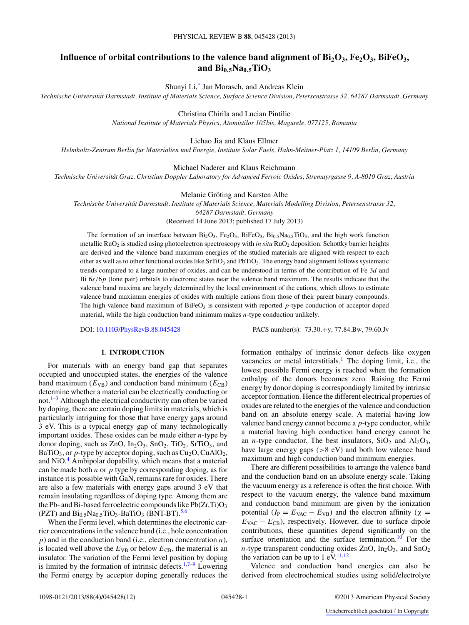# Influence of orbital contributions to the valence band alignment of Bi<sub>2</sub>O<sub>3</sub>, Fe<sub>2</sub>O<sub>3</sub>, BiFeO<sub>3</sub>, and  $\text{Bi}_{0.5}\text{Na}_{0.5}\text{TiO}_3$

Shunyi Li,[\\*](#page-9-0) Jan Morasch, and Andreas Klein

*Technische Universitat Darmstadt, Institute of Materials Science, Surface Science Division, Petersenstrasse 32, 64287 Darmstadt, Germany ¨*

Christina Chirila and Lucian Pintilie

*National Institute of Materials Physics, Atomistilor 105bis, Magurele, 077125, Romania*

## Lichao Jia and Klaus Ellmer

*Helmholtz-Zentrum Berlin fur Materialien und Energie, Institute Solar Fuels, Hahn-Meitner-Platz 1, 14109 Berlin, Germany ¨*

## Michael Naderer and Klaus Reichmann

*Technische Universitat Graz, Christian Doppler Laboratory for Advanced Ferroic Oxides, Stremayrgasse 9, A-8010 Graz, Austria ¨*

#### Melanie Gröting and Karsten Albe

*Technische Universitat Darmstadt, Institute of Materials Science, Materials Modelling Division, Petersenstrasse 32, ¨*

*64287 Darmstadt, Germany*

(Received 14 June 2013; published 17 July 2013)

The formation of an interface between  $Bi_2O_3$ ,  $Fe_2O_3$ ,  $BiFeO_3$ ,  $Bi_{0.5}Na_{0.5}TiO_3$ , and the high work function metallic RuO<sub>2</sub> is studied using photoelectron spectroscopy with *in situ* RuO<sub>2</sub> deposition. Schottky barrier heights are derived and the valence band maximum energies of the studied materials are aligned with respect to each other as well as to other functional oxides like  $SrTiO<sub>3</sub>$  and  $PbTiO<sub>3</sub>$ . The energy band alignment follows systematic trends compared to a large number of oxides, and can be understood in terms of the contribution of Fe 3*d* and Bi 6*s/*6*p* (lone pair) orbitals to electronic states near the valence band maximum. The results indicate that the valence band maxima are largely determined by the local environment of the cations, which allows to estimate valence band maximum energies of oxides with multiple cations from those of their parent binary compounds. The high valence band maximum of  $BifeO<sub>3</sub>$  is consistent with reported *p*-type conduction of acceptor doped material, while the high conduction band minimum makes *n*-type conduction unlikely.

DOI: [10.1103/PhysRevB.88.045428](http://dx.doi.org/10.1103/PhysRevB.88.045428) PACS number(s): 73*.*30*.*+y, 77*.*84*.*Bw, 79*.*60*.*Jv

# **I. INTRODUCTION**

For materials with an energy band gap that separates occupied and unoccupied states, the energies of the valence band maximum  $(E_{VB})$  and conduction band minimum  $(E_{CB})$ determine whether a material can be electrically conducting or not. $1-3$  Although the electrical conductivity can often be varied by doping, there are certain doping limits in materials, which is particularly intriguing for those that have energy gaps around 3 eV. This is a typical energy gap of many technologically important oxides. These oxides can be made either *n*-type by donor doping, such as  $ZnO$ ,  $In_2O_3$ ,  $SnO_2$ ,  $TiO_2$ ,  $SrTiO_3$ , and BaTiO<sub>3</sub>, or *p*-type by acceptor doping, such as  $Cu<sub>2</sub>O$ , CuAlO<sub>2</sub>, and NiO.<sup>4</sup> Ambipolar dopability, which means that a material can be made both *n* or *p* type by corresponding doping, as for instance it is possible with GaN, remains rare for oxides. There are also a few materials with energy gaps around 3 eV that remain insulating regardless of doping type. Among them are the Pb- and Bi-based ferroelectric compounds like  $Pb(Zr,Ti)O_3$ (PZT) and  $Bi_{0.5}Na_{0.5}TiO_3-BaTiO_3$  $Bi_{0.5}Na_{0.5}TiO_3-BaTiO_3$  $Bi_{0.5}Na_{0.5}TiO_3-BaTiO_3$  (BNT-BT).<sup>5[,6](#page-10-0)</sup>

When the Fermi level, which determines the electronic carrier concentrations in the valence band (i.e., hole concentration *p*) and in the conduction band (i.e., electron concentration *n*), is located well above the  $E_{VB}$  or below  $E_{CB}$ , the material is an insulator. The variation of the Fermi level position by doping is limited by the formation of intrinsic defects.<sup>1,[7–9](#page-10-0)</sup> Lowering the Fermi energy by acceptor doping generally reduces the formation enthalpy of intrinsic donor defects like oxygen vacancies or metal interstitials.<sup>[1](#page-9-0)</sup> The doping limit, i.e., the lowest possible Fermi energy is reached when the formation enthalpy of the donors becomes zero. Raising the Fermi energy by donor doping is correspondingly limited by intrinsic acceptor formation. Hence the different electrical properties of oxides are related to the energies of the valence and conduction band on an absolute energy scale. A material having low valence band energy cannot become a *p*-type conductor, while a material having high conduction band energy cannot be an *n*-type conductor. The best insulators,  $SiO<sub>2</sub>$  and  $Al<sub>2</sub>O<sub>3</sub>$ , have large energy gaps (*>*8 eV) and both low valence band maximum and high conduction band minimum energies.

There are different possibilities to arrange the valence band and the conduction band on an absolute energy scale. Taking the vacuum energy as a reference is often the first choice. With respect to the vacuum energy, the valence band maximum and conduction band minimum are given by the ionization potential ( $I_P = E_{VAC} - E_{VB}$ ) and the electron affinity ( $\chi$  =  $E_{\text{VAC}} - E_{\text{CB}}$ , respectively. However, due to surface dipole contributions, these quantities depend significantly on the surface orientation and the surface termination.<sup>10</sup> For the *n*-type transparent conducting oxides ZnO,  $In_2O_3$ , and  $SnO_2$ the variation can be up to 1 eV. $^{11,12}$  $^{11,12}$  $^{11,12}$ 

Valence and conduction band energies can also be derived from electrochemical studies using solid/electrolyte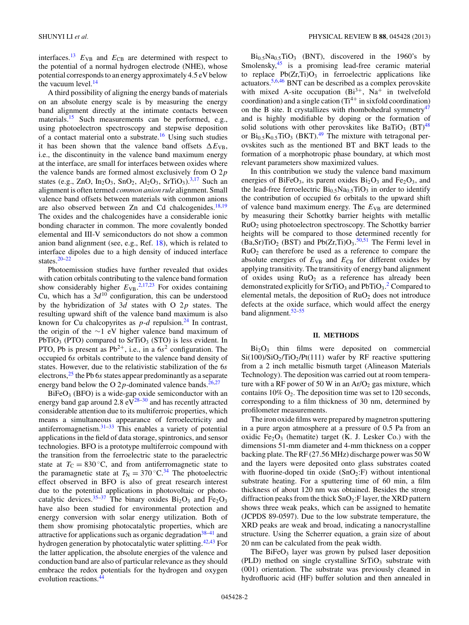interfaces.<sup>13</sup>  $E_{VB}$  and  $E_{CB}$  are determined with respect to the potential of a normal hydrogen electrode (NHE), whose potential corresponds to an energy approximately 4.5 eV below the vacuum level. $^{14}$ 

A third possibility of aligning the energy bands of materials on an absolute energy scale is by measuring the energy band alignment directly at the intimate contacts between materials.<sup>[15](#page-10-0)</sup> Such measurements can be performed, e.g., using photoelectron spectroscopy and stepwise deposition of a contact material onto a substrate.[16](#page-10-0) Using such studies it has been shown that the valence band offsets  $\Delta E_{\text{VB}}$ , i.e., the discontinuity in the valence band maximum energy at the interface, are small for interfaces between oxides where the valence bands are formed almost exclusively from O 2*p* states (e.g., ZnO, In<sub>2</sub>O<sub>3</sub>, SnO<sub>2</sub>, Al<sub>2</sub>O<sub>3</sub>, SrTiO<sub>3</sub>).<sup>[3,](#page-9-0)[17](#page-10-0)</sup> Such an alignment is often termed *common anion rule* alignment. Small valence band offsets between materials with common anions are also observed between  $Zn$  and  $Cd$  chalcogenides.<sup>18,19</sup> The oxides and the chalcogenides have a considerable ionic bonding character in common. The more covalently bonded elemental and III-V semiconductors do not show a common anion band alignment (see, e.g., Ref. [18\)](#page-10-0), which is related to interface dipoles due to a high density of induced interface states.[20–22](#page-10-0)

Photoemission studies have further revealed that oxides with cation orbitals contributing to the valence band formation show considerably higher  $E_{VB}$ .<sup>[2,](#page-9-0)[17,23](#page-10-0)</sup> For oxides containing Cu, which has a  $3d^{10}$  configuration, this can be understood by the hybridization of 3*d* states with O 2*p* states. The resulting upward shift of the valence band maximum is also known for Cu chalcopyrites as  $p-d$  repulsion.<sup>24</sup> In contrast, the origin of the ∼1 eV higher valence band maximum of PbTiO<sub>3</sub> (PTO) compared to SrTiO<sub>3</sub> (STO) is less evident. In PTO, Pb is present as  $Pb^{2+}$ , i.e., in a  $6s^2$  configuration. The occupied 6*s* orbitals contribute to the valence band density of states. However, due to the relativistic stabilization of the 6*s* electrons,[25](#page-10-0) the Pb 6*s* states appear predominantly as a separate energy band below the O 2 $p$ -dominated valence bands.<sup>26,27</sup>

 $BiFeO<sub>3</sub>$  (BFO) is a wide-gap oxide semiconductor with an energy band gap around 2.8  $eV^{28-30}$  and has recently attracted considerable attention due to its multiferroic properties, which means a simultaneous appearance of ferroelectricity and antiferromagnetism. $31-33$  This enables a variety of potential applications in the field of data storage, spintronics, and sensor technologies. BFO is a prototype multiferroic compound with the transition from the ferroelectric state to the paraelectric state at  $T_c = 830$ °C, and from antiferromagnetic state to the paramagnetic state at  $T_N = 370 °C^{34}$  $T_N = 370 °C^{34}$  $T_N = 370 °C^{34}$  The photoelectric effect observed in BFO is also of great research interest due to the potential applications in photovoltaic or photocatalytic devices.<sup>35-37</sup> The binary oxides  $Bi<sub>2</sub>O<sub>3</sub>$  and  $Fe<sub>2</sub>O<sub>3</sub>$ have also been studied for environmental protection and energy conversion with solar energy utilization. Both of them show promising photocatalytic properties, which are attractive for applications such as organic degradation<sup>[38–41](#page-10-0)</sup> and hydrogen generation by photocatalytic water splitting.<sup>[42,43](#page-10-0)</sup> For the latter application, the absolute energies of the valence and conduction band are also of particular relevance as they should embrace the redox potentials for the hydrogen and oxygen evolution reactions.<sup>4</sup>

 $Bi_{0.5}Na_{0.5}TiO_3$  (BNT), discovered in the 1960's by Smolensky, $45$  is a promising lead-free ceramic material to replace  $Pb(Zr,Ti)O<sub>3</sub>$  in ferroelectric applications like actuators.[5,](#page-9-0)[6,46](#page-10-0) BNT can be described as a complex perovskite with mixed A-site occupation  $(Bi^{3+}, Na^+$  in twelvefold coordination) and a single cation  $(Ti^{4+}$  in sixfold coordination) on the B site. It crystallizes with rhombohedral symmetry<sup>47</sup> and is highly modifiable by doping or the formation of solid solutions with other perovskites like BaTiO<sub>3</sub> (BT)<sup>[48](#page-10-0)</sup> or  $Bi_{0.5}K_{0.5}TiO_3$  (BKT).<sup>49</sup> The mixture with tetragonal perovskites such as the mentioned BT and BKT leads to the formation of a morphotropic phase boundary, at which most relevant parameters show maximized values.

In this contribution we study the valence band maximum energies of BiFeO<sub>3</sub>, its parent oxides  $Bi<sub>2</sub>O<sub>3</sub>$  and Fe<sub>2</sub>O<sub>3</sub>, and the lead-free ferroelectric  $Bi_{0.5}Na_{0.5}TiO_3$  in order to identify the contribution of occupied 6*s* orbitals to the upward shift of valence band maximum energy. The  $E_{VB}$  are determined by measuring their Schottky barrier heights with metallic  $RuO<sub>2</sub>$  using photoelectron spectroscopy. The Schottky barrier heights will be compared to those determined recently for  $(Ba, Sr)TiO<sub>2</sub> (BST)$  and  $Pb(Zr, Ti)O<sub>3</sub>.<sup>50,51</sup>$  $Pb(Zr, Ti)O<sub>3</sub>.<sup>50,51</sup>$  $Pb(Zr, Ti)O<sub>3</sub>.<sup>50,51</sup>$  The Fermi level in RuO2 can therefore be used as a reference to compare the absolute energies of  $E_{VB}$  and  $E_{CB}$  for different oxides by applying transitivity. The transitivity of energy band alignment of oxides using  $RuO<sub>2</sub>$  as a reference has already been demonstrated explicitly for  $SrTiO<sub>3</sub>$  and  $PbTiO<sub>3</sub>$ .<sup>[2](#page-9-0)</sup> Compared to elemental metals, the deposition of  $RuO<sub>2</sub>$  does not introduce defects at the oxide surface, which would affect the energy band alignment.<sup>52–55</sup>

#### **II. METHODS**

 $Bi<sub>2</sub>O<sub>3</sub>$  thin films were deposited on commercial  $Si(100)/SiO<sub>2</sub>/TiO<sub>2</sub>/Pt(111)$  wafer by RF reactive sputtering from a 2 inch metallic bismuth target (Alineason Materials Technology). The deposition was carried out at room temperature with a RF power of 50 W in an  $Ar/O<sub>2</sub>$  gas mixture, which contains  $10\%$  O<sub>2</sub>. The deposition time was set to 120 seconds, corresponding to a film thickness of 30 nm, determined by profilometer measurements.

The iron oxide films were prepared by magnetron sputtering in a pure argon atmosphere at a pressure of 0*.*5 Pa from an oxidic  $Fe<sub>2</sub>O<sub>3</sub>$  (hematite) target (K. J. Lesker Co.) with the dimensions 51-mm diameter and 4-mm thickness on a copper backing plate. The RF (27*.*56 MHz) discharge power was 50 W and the layers were deposited onto glass substrates coated with fluorine-doped tin oxide  $(SnO_2: F)$  without intentional substrate heating. For a sputtering time of 60 min, a film thickness of about 120 nm was obtained. Besides the strong diffraction peaks from the thick  $SnO<sub>2</sub>:$ F layer, the XRD pattern shows three weak peaks, which can be assigned to hematite (JCPDS 89-0597). Due to the low substrate temperature, the XRD peaks are weak and broad, indicating a nanocrystalline structure. Using the Scherrer equation, a grain size of about 20 nm can be calculated from the peak width.

The BiFe $O_3$  layer was grown by pulsed laser deposition (PLD) method on single crystalline  $SrTiO<sub>3</sub>$  substrate with (001) orientation. The substrate was previously cleaned in hydrofluoric acid (HF) buffer solution and then annealed in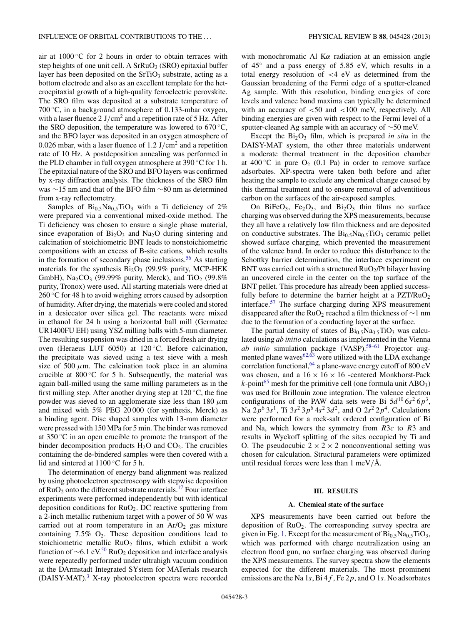air at  $1000\,^{\circ}$ C for 2 hours in order to obtain terraces with step heights of one unit cell. A  $SrRuO<sub>3</sub>$  (SRO) epitaxial buffer layer has been deposited on the  $SrTiO<sub>3</sub>$  substrate, acting as a bottom electrode and also as an excellent template for the heteroepitaxial growth of a high-quality ferroelectric perovskite. The SRO film was deposited at a substrate temperature of 700 ◦C, in a background atmosphere of 0*.*133-mbar oxygen, with a laser fluence 2 J*/*cm2 and a repetition rate of 5 Hz. After the SRO deposition, the temperature was lowered to  $670^{\circ}$ C, and the BFO layer was deposited in an oxygen atmosphere of 0*.*026 mbar, with a laser fluence of 1*.*2 J*/*cm2 and a repetition rate of 10 Hz. A postdeposition annealing was performed in the PLD chamber in full oxygen atmosphere at 390 ◦C for 1 h. The epitaxial nature of the SRO and BFO layers was confirmed by x-ray diffraction analysis. The thickness of the SRO film was ∼15 nm and that of the BFO film ∼80 nm as determined from x-ray reflectometry.

Samples of  $Bi_{0.5}Na_{0.5}TiO_3$  with a Ti deficiency of 2% were prepared via a conventional mixed-oxide method. The Ti deficiency was chosen to ensure a single phase material, since evaporation of  $Bi<sub>2</sub>O<sub>3</sub>$  and Na<sub>2</sub>O during sintering and calcination of stoichiometric BNT leads to nonstoichiometric compositions with an excess of B-site cations, which results in the formation of secondary phase inclusions.<sup>56</sup> As starting materials for the synthesis  $Bi<sub>2</sub>O<sub>3</sub>$  (99.9% purity, MCP-HEK GmbH), Na<sub>2</sub>CO<sub>3</sub> (99.99% purity, Merck), and TiO<sub>2</sub> (99.8%) purity, Tronox) were used. All starting materials were dried at  $260$  °C for 48 h to avoid weighing errors caused by adsorption of humidity. After drying, the materials were cooled and stored in a desiccator over silica gel. The reactants were mixed in ethanol for 24 h using a horizontal ball mill (Germatec UR1400FU EH) using YSZ milling balls with 5-mm diameter. The resulting suspension was dried in a forced fresh air drying oven (Heraeus LUT 6050) at 120 ◦C. Before calcination, the precipitate was sieved using a test sieve with a mesh size of 500  $\mu$ m. The calcination took place in an alumina crucible at  $800^{\circ}$ C for 5 h. Subsequently, the material was again ball-milled using the same milling parameters as in the first milling step. After another drying step at  $120^{\circ}$ C, the fine powder was sieved to an agglomerate size less than 180 *μ*m and mixed with 5% PEG 20 000 (for synthesis, Merck) as a binding agent. Disc shaped samples with 13-mm diameter were pressed with 150 MPa for 5 min. The binder was removed at  $350\,^{\circ}\text{C}$  in an open crucible to promote the transport of the binder decomposition products  $H_2O$  and  $CO_2$ . The crucibles containing the de-bindered samples were then covered with a lid and sintered at  $1100\degree$ C for 5 h.

The determination of energy band alignment was realized by using photoelectron spectroscopy with stepwise deposition of  $RuO<sub>2</sub>$  onto the different substrate materials.<sup>[17](#page-10-0)</sup> Four interface experiments were performed independently but with identical deposition conditions for  $RuO<sub>2</sub>$ . DC reactive sputtering from a 2-inch metallic ruthenium target with a power of 50 W was carried out at room temperature in an  $Ar/O<sub>2</sub>$  gas mixture containing  $7.5\%$  O<sub>2</sub>. These deposition conditions lead to stoichiometric metallic RuO<sub>2</sub> films, which exhibit a work function of  $\sim 6.1 \text{ eV}^{50}$  $\sim 6.1 \text{ eV}^{50}$  $\sim 6.1 \text{ eV}^{50}$  RuO<sub>2</sub> deposition and interface analysis were repeatedly performed under ultrahigh vacuum condition at the DArmstadt Integrated SYstem for MATerials research (DAISY-MAT).<sup>[3](#page-9-0)</sup> X-ray photoelectron spectra were recorded with monochromatic Al K*α* radiation at an emission angle of 45◦ and a pass energy of 5*.*85 eV, which results in a total energy resolution of *<*4 eV as determined from the Gaussian broadening of the Fermi edge of a sputter-cleaned Ag sample. With this resolution, binding energies of core levels and valence band maxima can typically be determined with an accuracy of *<*50 and *<*100 meV, respectively. All binding energies are given with respect to the Fermi level of a sputter-cleaned Ag sample with an accuracy of ∼50 meV.

Except the  $Bi<sub>2</sub>O<sub>3</sub>$  film, which is prepared *in situ* in the DAISY-MAT system, the other three materials underwent a moderate thermal treatment in the deposition chamber at  $400^{\circ}$ C in pure  $O_2$  (0.1 Pa) in order to remove surface adsorbates. XP-spectra were taken both before and after heating the sample to exclude any chemical change caused by this thermal treatment and to ensure removal of adventitious carbon on the surfaces of the air-exposed samples.

On BiFeO<sub>3</sub>, Fe<sub>2</sub>O<sub>3</sub>, and Bi<sub>2</sub>O<sub>3</sub> thin films no surface charging was observed during the XPS measurements, because they all have a relatively low film thickness and are deposited on conductive substrates. The Bi<sub>0.5</sub>Na<sub>0.5</sub>TiO<sub>3</sub> ceramic pellet showed surface charging, which prevented the measurement of the valence band. In order to reduce this disturbance to the Schottky barrier determination, the interface experiment on BNT was carried out with a structured  $RuO<sub>2</sub>/Pt$  bilayer having an uncovered circle in the center on the top surface of the BNT pellet. This procedure has already been applied successfully before to determine the barrier height at a  $PZT/RuO<sub>2</sub>$ interface.<sup>57</sup> The surface charging during XPS measurement disappeared after the RuO<sub>2</sub> reached a film thickness of  $\sim$ 1 nm due to the formation of a conducting layer at the surface.

The partial density of states of  $\text{Bi}_{0.5}\text{Na}_{0.5}\text{TiO}_{3}$  was calculated using *ab initio* calculations as implemented in the Vienna *ab initio* simulation package (VASP).<sup>58-61</sup> Projector augmented plane waves $62,63$  were utilized with the LDA exchange correlation functional,  $64$  a plane-wave energy cutoff of 800 eV was chosen, and a  $16 \times 16 \times 16$  -centered Monkhorst-Pack  $k$ -point<sup>[65](#page-10-0)</sup> mesh for the primitive cell (one formula unit ABO<sub>3</sub>) was used for Brillouin zone integration. The valence electron configurations of the PAW data sets were Bi  $5d^{10} 6s^2 6p^3$ , Na  $2p^6 3s^1$ , Ti  $3s^2 3p^6 4s^2 3d^2$ , and O  $2s^2 2p^4$ . Calculations were performed for a rock-salt ordered configuration of Bi and Na, which lowers the symmetry from *R*3*c* to *R*3 and results in Wyckoff splitting of the sites occupied by Ti and O. The pseudocubic  $2 \times 2 \times 2$  nonconventional setting was chosen for calculation. Structural parameters were optimized until residual forces were less than  $1 \text{ meV/A}.$ 

## **III. RESULTS**

### **A. Chemical state of the surface**

XPS measurements have been carried out before the deposition of RuO2. The corresponding survey spectra are given in Fig. [1.](#page-3-0) Except for the measurement of  $Bi_{0.5}Na_{0.5}TiO_3$ , which was performed with charge neutralization using an electron flood gun, no surface charging was observed during the XPS measurements. The survey spectra show the elements expected for the different materials. The most prominent emissions are the Na 1*s*, Bi 4*f* , Fe 2*p*, and O 1*s*. No adsorbates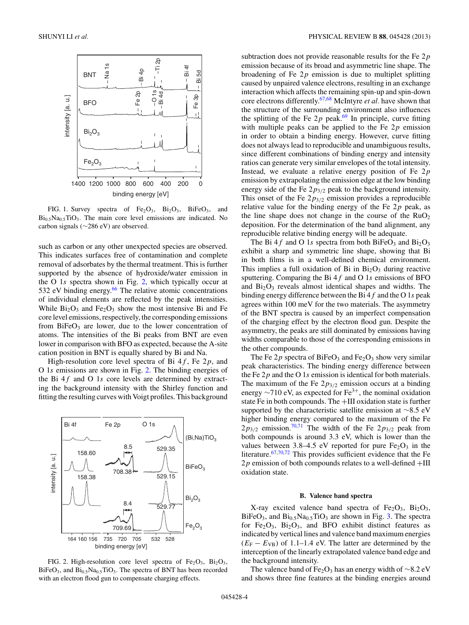<span id="page-3-0"></span>

FIG. 1. Survey spectra of  $Fe<sub>2</sub>O<sub>3</sub>$ ,  $Bi<sub>2</sub>O<sub>3</sub>$ ,  $BiFeO<sub>3</sub>$ , and  $Bi<sub>0.5</sub>Na<sub>0.5</sub>TiO<sub>3</sub>$ . The main core level emissions are indicated. No carbon signals (∼286 eV) are observed.

such as carbon or any other unexpected species are observed. This indicates surfaces free of contamination and complete removal of adsorbates by the thermal treatment. This is further supported by the absence of hydroxide/water emission in the O 1*s* spectra shown in Fig. 2, which typically occur at 532 eV binding energy.<sup>66</sup> The relative atomic concentrations of individual elements are reflected by the peak intensities. While  $Bi<sub>2</sub>O<sub>3</sub>$  and Fe<sub>2</sub>O<sub>3</sub> show the most intensive Bi and Fe core level emissions, respectively, the corresponding emissions from  $BiFeO<sub>3</sub>$  are lower, due to the lower concentration of atoms. The intensities of the Bi peaks from BNT are even lower in comparison with BFO as expected, because the A-site cation position in BNT is equally shared by Bi and Na.

High-resolution core level spectra of Bi 4*f* , Fe 2*p*, and O 1*s* emissions are shown in Fig. 2. The binding energies of the Bi 4*f* and O 1*s* core levels are determined by extracting the background intensity with the Shirley function and fitting the resulting curves with Voigt profiles. This background



FIG. 2. High-resolution core level spectra of  $Fe<sub>2</sub>O<sub>3</sub>$ ,  $Bi<sub>2</sub>O<sub>3</sub>$ ,  $BiFeO<sub>3</sub>$ , and  $Bi<sub>0.5</sub>Na<sub>0.5</sub>TiO<sub>3</sub>$ . The spectra of BNT has been recorded with an electron flood gun to compensate charging effects.

subtraction does not provide reasonable results for the Fe 2*p* emission because of its broad and asymmetric line shape. The broadening of Fe 2*p* emission is due to multiplet splitting caused by unpaired valence electrons, resulting in an exchange interaction which affects the remaining spin-up and spin-down core electrons differently[.67,68](#page-10-0) McIntyre *et al.* have shown that the structure of the surrounding environment also influences the splitting of the Fe  $2p$  peak.<sup>[69](#page-10-0)</sup> In principle, curve fitting with multiple peaks can be applied to the Fe 2*p* emission in order to obtain a binding energy. However, curve fitting does not always lead to reproducible and unambiguous results, since different combinations of binding energy and intensity ratios can generate very similar envelopes of the total intensity. Instead, we evaluate a relative energy position of Fe 2*p* emission by extrapolating the emission edge at the low binding energy side of the Fe 2*p*3*/*<sup>2</sup> peak to the background intensity. This onset of the Fe 2*p*3*/*<sup>2</sup> emission provides a reproducible relative value for the binding energy of the Fe 2*p* peak, as the line shape does not change in the course of the  $RuO<sub>2</sub>$ deposition. For the determination of the band alignment, any reproducible relative binding energy will be adequate.

The Bi 4 $f$  and O 1s spectra from both BiFeO<sub>3</sub> and Bi<sub>2</sub>O<sub>3</sub> exhibit a sharp and symmetric line shape, showing that Bi in both films is in a well-defined chemical environment. This implies a full oxidation of Bi in  $Bi<sub>2</sub>O<sub>3</sub>$  during reactive sputtering. Comparing the Bi 4*f* and O 1*s* emissions of BFO and  $Bi<sub>2</sub>O<sub>3</sub>$  reveals almost identical shapes and widths. The binding energy difference between the Bi 4*f* and the O 1*s* peak agrees within 100 meV for the two materials. The asymmetry of the BNT spectra is caused by an imperfect compensation of the charging effect by the electron flood gun. Despite the asymmetry, the peaks are still dominated by emissions having widths comparable to those of the corresponding emissions in the other compounds.

The Fe  $2p$  spectra of BiFeO<sub>3</sub> and Fe<sub>2</sub>O<sub>3</sub> show very similar peak characteristics. The binding energy difference between the Fe 2*p* and the O 1*s* emission is identical for both materials. The maximum of the Fe  $2p_{3/2}$  emission occurs at a binding energy  $\sim$ 710 eV, as expected for Fe<sup>3+</sup>, the nominal oxidation state Fe in both compounds. The +III oxidation state is further supported by the characteristic satellite emission at ∼8.5 eV higher binding energy compared to the maximum of the Fe  $2p_{3/2}$  emission.<sup>[70,71](#page-11-0)</sup> The width of the Fe  $2p_{3/2}$  peak from both compounds is around 3*.*3 eV, which is lower than the values between 3.8–4.5 eV reported for pure  $Fe<sub>2</sub>O<sub>3</sub>$  in the literature. $67,70,72$  $67,70,72$  This provides sufficient evidence that the Fe  $2p$  emission of both compounds relates to a well-defined  $+III$ oxidation state.

#### **B. Valence band spectra**

X-ray excited valence band spectra of  $Fe<sub>2</sub>O<sub>3</sub>$ ,  $Bi<sub>2</sub>O<sub>3</sub>$ ,  $BiFeO<sub>3</sub>$ , and  $Bi<sub>0.5</sub>Na<sub>0.5</sub>TiO<sub>3</sub>$  are shown in Fig. [3.](#page-4-0) The spectra for  $Fe<sub>2</sub>O<sub>3</sub>$ ,  $Bi<sub>2</sub>O<sub>3</sub>$ , and BFO exhibit distinct features as indicated by vertical lines and valence band maximum energies  $(E_F - E_{VB})$  of 1.1–1.4 eV. The latter are determined by the interception of the linearly extrapolated valence band edge and the background intensity.

The valence band of Fe<sub>2</sub>O<sub>3</sub> has an energy width of ∼8.2 eV and shows three fine features at the binding energies around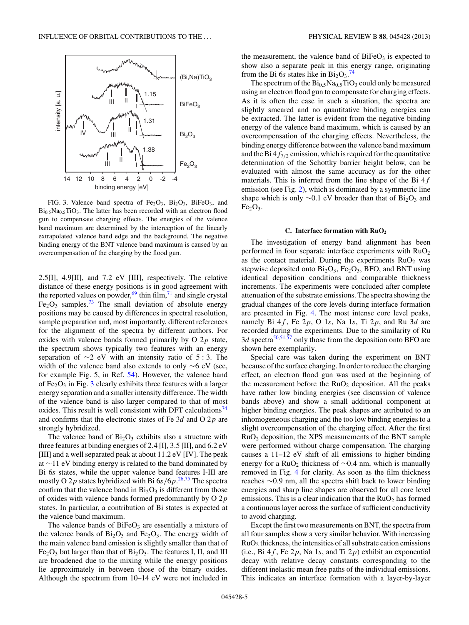<span id="page-4-0"></span>

FIG. 3. Valence band spectra of  $Fe<sub>2</sub>O<sub>3</sub>$ ,  $Bi<sub>2</sub>O<sub>3</sub>$ ,  $BiFeO<sub>3</sub>$ , and  $Bi<sub>0.5</sub>Na<sub>0.5</sub>TiO<sub>3</sub>$ . The latter has been recorded with an electron flood gun to compensate charging effects. The energies of the valence band maximum are determined by the interception of the linearly extrapolated valence band edge and the background. The negative binding energy of the BNT valence band maximum is caused by an overcompensation of the charging by the flood gun.

2*.*5[I], 4*.*9[II], and 7*.*2 eV [III], respectively. The relative distance of these energy positions is in good agreement with the reported values on powder,  $69$  thin film,  $71$  and single crystal  $Fe<sub>2</sub>O<sub>3</sub>$  samples.<sup>73</sup> The small deviation of absolute energy positions may be caused by differences in spectral resolution, sample preparation and, most importantly, different references for the alignment of the spectra by different authors. For oxides with valence bands formed primarily by O 2*p* state, the spectrum shows typically two features with an energy separation of ∼2 eV with an intensity ratio of 5 : 3. The width of the valence band also extends to only  $\sim$ 6 eV (see, for example Fig. 5, in Ref. [54\)](#page-10-0). However, the valence band of  $Fe<sub>2</sub>O<sub>3</sub>$  in Fig. 3 clearly exhibits three features with a larger energy separation and a smaller intensity difference. The width of the valence band is also larger compared to that of most oxides. This result is well consistent with DFT calculations<sup>74</sup> and confirms that the electronic states of Fe 3*d* and O 2*p* are strongly hybridized.

The valence band of  $Bi<sub>2</sub>O<sub>3</sub>$  exhibits also a structure with three features at binding energies of 2*.*4 [I], 3*.*5 [II], and 6*.*2 eV [III] and a well separated peak at about 11*.*2 eV [IV]. The peak at ∼11 eV binding energy is related to the band dominated by Bi 6*s* states, while the upper valence band features I-III are mostly O 2*p* states hybridized with Bi 6*s/*6*p*. [26,](#page-10-0)[75](#page-11-0) The spectra confirm that the valence band in  $Bi<sub>2</sub>O<sub>3</sub>$  is different from those of oxides with valence bands formed predominantly by O 2*p* states. In particular, a contribution of Bi states is expected at the valence band maximum.

The valence bands of  $BiFeO<sub>3</sub>$  are essentially a mixture of the valence bands of  $Bi<sub>2</sub>O<sub>3</sub>$  and Fe<sub>2</sub>O<sub>3</sub>. The energy width of the main valence band emission is slightly smaller than that of  $Fe<sub>2</sub>O<sub>3</sub>$  but larger than that of  $Bi<sub>2</sub>O<sub>3</sub>$ . The features I, II, and III are broadened due to the mixing while the energy positions lie approximately in between those of the binary oxides. Although the spectrum from 10–14 eV were not included in the measurement, the valence band of  $BiFeO<sub>3</sub>$  is expected to show also a separate peak in this energy range, originating from the Bi 6s states like in  $Bi_2O_3$ .<sup>[74](#page-11-0)</sup>

The spectrum of the  $Bi_{0.5}Na_{0.5}TiO_3$  could only be measured using an electron flood gun to compensate for charging effects. As it is often the case in such a situation, the spectra are slightly smeared and no quantitative binding energies can be extracted. The latter is evident from the negative binding energy of the valence band maximum, which is caused by an overcompensation of the charging effects. Nevertheless, the binding energy difference between the valence band maximum and the Bi  $4f_{7/2}$  emission, which is required for the quantitative determination of the Schottky barrier height below, can be evaluated with almost the same accuracy as for the other materials. This is inferred from the line shape of the Bi 4*f* emission (see Fig. [2\)](#page-3-0), which is dominated by a symmetric line shape which is only  $\sim$ 0.1 eV broader than that of Bi<sub>2</sub>O<sub>3</sub> and  $Fe<sub>2</sub>O<sub>3</sub>$ .

#### **C. Interface formation with RuO2**

The investigation of energy band alignment has been performed in four separate interface experiments with  $RuO<sub>2</sub>$ as the contact material. During the experiments  $RuO<sub>2</sub>$  was stepwise deposited onto  $Bi<sub>2</sub>O<sub>3</sub>$ , Fe<sub>2</sub>O<sub>3</sub>, BFO, and BNT using identical deposition conditions and comparable thickness increments. The experiments were concluded after complete attenuation of the substrate emissions. The spectra showing the gradual changes of the core levels during interface formation are presented in Fig. [4.](#page-5-0) The most intense core level peaks, namely Bi  $4f$ , Fe  $2p$ , O 1*s*, Na 1*s*, Ti  $2p$ , and Ru 3*d* are recorded during the experiments. Due to the similarity of Ru  $3d$  spectra<sup>50,51,57</sup> only those from the deposition onto BFO are shown here exemplarily.

Special care was taken during the experiment on BNT because of the surface charging. In order to reduce the charging effect, an electron flood gun was used at the beginning of the measurement before the  $RuO<sub>2</sub>$  deposition. All the peaks have rather low binding energies (see discussion of valence bands above) and show a small additional component at higher binding energies. The peak shapes are attributed to an inhomogeneous charging and the too low binding energies to a slight overcompensation of the charging effect. After the first  $RuO<sub>2</sub>$  deposition, the XPS measurements of the BNT sample were performed without charge compensation. The charging causes a 11–12 eV shift of all emissions to higher binding energy for a RuO2 thickness of ∼0*.*4 nm, which is manually removed in Fig. [4](#page-5-0) for clarity. As soon as the film thickness reaches ∼0*.*9 nm, all the spectra shift back to lower binding energies and sharp line shapes are observed for all core level emissions. This is a clear indication that the  $RuO<sub>2</sub>$  has formed a continuous layer across the surface of sufficient conductivity to avoid charging.

Except the first two measurements on BNT, the spectra from all four samples show a very similar behavior. With increasing  $RuO<sub>2</sub>$  thickness, the intensities of all substrate cation emissions (i.e., Bi  $4f$ , Fe  $2p$ , Na 1*s*, and Ti  $2p$ ) exhibit an exponential decay with relative decay constants corresponding to the different inelastic mean free paths of the individual emissions. This indicates an interface formation with a layer-by-layer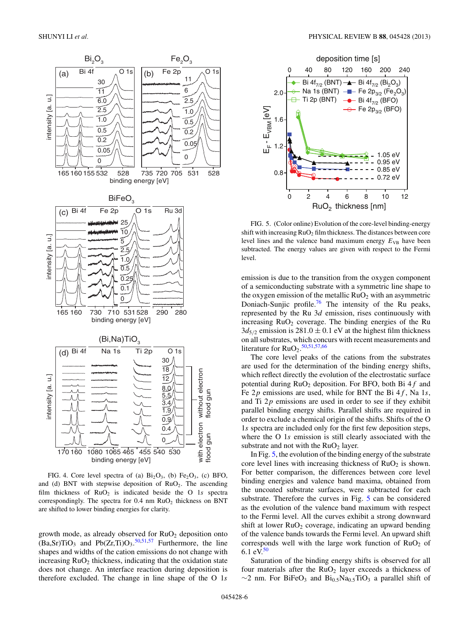<span id="page-5-0"></span>

FIG. 4. Core level spectra of (a)  $Bi<sub>2</sub>O<sub>3</sub>$ , (b) Fe<sub>2</sub>O<sub>3</sub>, (c) BFO, and (d) BNT with stepwise deposition of  $RuO<sub>2</sub>$ . The ascending film thickness of RuO<sub>2</sub> is indicated beside the O 1s spectra correspondingly. The spectra for 0.4 nm RuO<sub>2</sub> thickness on BNT are shifted to lower binding energies for clarity.

growth mode, as already observed for  $RuO<sub>2</sub>$  deposition onto  $(Ba, Sr) TiO<sub>3</sub>$  and  $Pb(Zr, Ti) O<sub>3</sub>$ .  $50,51,57$  Furthermore, the line shapes and widths of the cation emissions do not change with increasing  $RuO<sub>2</sub>$  thickness, indicating that the oxidation state does not change. An interface reaction during deposition is therefore excluded. The change in line shape of the O 1*s*



FIG. 5. (Color online) Evolution of the core-level binding-energy shift with increasing  $RuO<sub>2</sub>$  film thickness. The distances between core level lines and the valence band maximum energy  $E_{VB}$  have been subtracted. The energy values are given with respect to the Fermi level.

emission is due to the transition from the oxygen component of a semiconducting substrate with a symmetric line shape to the oxygen emission of the metallic  $RuO<sub>2</sub>$  with an asymmetric Doniach-Sunjic profile.<sup>[76](#page-11-0)</sup> The intensity of the Ru peaks, represented by the Ru 3*d* emission, rises continuously with increasing  $RuO<sub>2</sub>$  coverage. The binding energies of the Ru  $3d_{5/2}$  emission is  $281.0 \pm 0.1$  eV at the highest film thickness on all substrates, which concurs with recent measurements and literature for  $RuO<sub>2</sub>$ .<sup>[50,51,57,66](#page-10-0)</sup>

The core level peaks of the cations from the substrates are used for the determination of the binding energy shifts, which reflect directly the evolution of the electrostatic surface potential during RuO2 deposition. For BFO, both Bi 4*f* and Fe 2*p* emissions are used, while for BNT the Bi 4*f* , Na 1*s*, and Ti 2*p* emissions are used in order to see if they exhibit parallel binding energy shifts. Parallel shifts are required in order to exclude a chemical origin of the shifts. Shifts of the O 1*s* spectra are included only for the first few deposition steps, where the O 1*s* emission is still clearly associated with the substrate and not with the  $RuO<sub>2</sub>$  layer.

In Fig. 5, the evolution of the binding energy of the substrate core level lines with increasing thickness of  $RuO<sub>2</sub>$  is shown. For better comparison, the differences between core level binding energies and valence band maxima, obtained from the uncoated substrate surfaces, were subtracted for each substrate. Therefore the curves in Fig. 5 can be considered as the evolution of the valence band maximum with respect to the Fermi level. All the curves exhibit a strong downward shift at lower  $RuO<sub>2</sub>$  coverage, indicating an upward bending of the valence bands towards the Fermi level. An upward shift corresponds well with the large work function of  $RuO<sub>2</sub>$  of 6.1 eV. $50$ 

Saturation of the binding energy shifts is observed for all four materials after the  $RuO<sub>2</sub>$  layer exceeds a thickness of  $\sim$ 2 nm. For BiFeO<sub>3</sub> and Bi<sub>0.5</sub>Na<sub>0.5</sub>TiO<sub>3</sub> a parallel shift of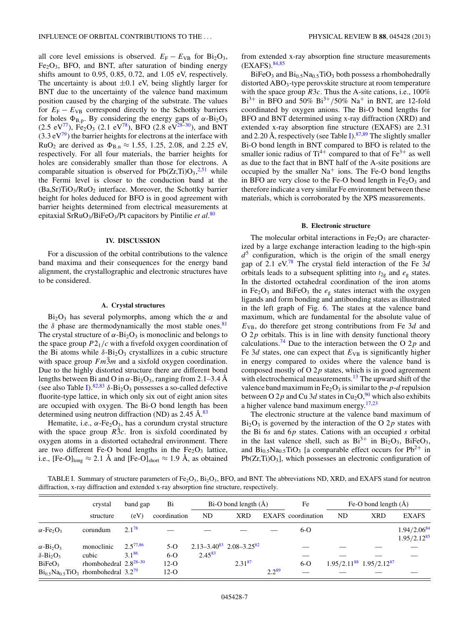<span id="page-6-0"></span>all core level emissions is observed.  $E_F - E_{VB}$  for Bi<sub>2</sub>O<sub>3</sub>,  $Fe<sub>2</sub>O<sub>3</sub>$ , BFO, and BNT, after saturation of binding energy shifts amount to 0*.*95, 0*.*85, 0*.*72, and 1*.*05 eV, respectively. The uncertainty is about  $\pm 0.1$  eV, being slightly larger for BNT due to the uncertainty of the valence band maximum position caused by the charging of the substrate. The values for  $E_F - E_{VB}$  correspond directly to the Schottky barriers for holes  $\Phi_{B,p}$ . By considering the energy gaps of  $\alpha$ -Bi<sub>2</sub>O<sub>3</sub>  $(2.5 \text{ eV}^{77})$ , Fe<sub>2</sub>O<sub>3</sub> (2.1 eV<sup>78</sup>), BFO (2.8 eV<sup>28–30</sup>), and BNT  $(3.3 \text{ eV}^{79})$  the barrier heights for electrons at the interface with  $RuO<sub>2</sub>$  are derived as  $\Phi_{B,n} \approx 1.55, 1.25, 2.08,$  and 2.25 eV, respectively. For all four materials, the barrier heights for holes are considerably smaller than those for electrons. A comparable situation is observed for  $Pb(Zr,Ti)O_3^{2,51}$  $Pb(Zr,Ti)O_3^{2,51}$  $Pb(Zr,Ti)O_3^{2,51}$  $Pb(Zr,Ti)O_3^{2,51}$  while the Fermi level is closer to the conduction band at the  $(Ba, Sr)TiO<sub>3</sub>/RuO<sub>2</sub>$  interface. Moreover, the Schottky barrier height for holes deduced for BFO is in good agreement with barrier heights determined from electrical measurements at epitaxial SrRuO3/BiFeO3/Pt capacitors by Pintilie *et al.*[80](#page-11-0)

#### **IV. DISCUSSION**

For a discussion of the orbital contributions to the valence band maxima and their consequences for the energy band alignment, the crystallographic and electronic structures have to be considered.

#### **A. Crystal structures**

 $Bi<sub>2</sub>O<sub>3</sub>$  has several polymorphs, among which the  $\alpha$  and the  $\delta$  phase are thermodynamically the most stable ones.<sup>81</sup> The crystal structure of  $\alpha$ -Bi<sub>2</sub>O<sub>3</sub> is monoclinic and belongs to the space group  $P2_1/c$  with a fivefold oxygen coordination of the Bi atoms while  $\delta$ -Bi<sub>2</sub>O<sub>3</sub> crystallizes in a cubic structure with space group  $Fm\overline{3}m$  and a sixfold oxygen coordination. Due to the highly distorted structure there are different bond lengths between Bi and O in  $\alpha$ -Bi<sub>2</sub>O<sub>3</sub>, ranging from 2.1–3.4 Å (see also Table I).<sup>[82,83](#page-11-0)</sup>  $\delta$ -Bi<sub>2</sub>O<sub>3</sub> possesses a so-called defective fluorite-type lattice, in which only six out of eight anion sites are occupied with oxygen. The Bi-O bond length has been determined using neutron diffraction (ND) as 2.45 Å.<sup>[83](#page-11-0)</sup>

Hematite, i.e.,  $\alpha$ -Fe<sub>2</sub>O<sub>3</sub>, has a corundum crystal structure with the space group  $R\bar{3}c$ . Iron is sixfold coordinated by oxygen atoms in a distorted octahedral environment. There are two different Fe-O bond lengths in the  $Fe<sub>2</sub>O<sub>3</sub>$  lattice, i.e., [Fe-O]<sub>long</sub>  $\approx$  2.1 Å and [Fe-O]<sub>short</sub>  $\approx$  1.9 Å, as obtained

from extended x-ray absorption fine structure measurements  $(EXAFS).<sup>84,85</sup>$  $(EXAFS).<sup>84,85</sup>$  $(EXAFS).<sup>84,85</sup>$ 

 $BiFeO<sub>3</sub>$  and  $Bi<sub>0</sub>$ <sub>5</sub>Na<sub>0</sub><sup>5</sup>TiO<sub>3</sub> both possess a rhombohedrally distorted ABO<sub>3</sub>-type perovskite structure at room temperature with the space group *R*3*c*. Thus the A-site cations, i.e., 100%  $Bi^{3+}$  in BFO and 50%  $Bi^{3+}/50\%$  Na<sup>+</sup> in BNT, are 12-fold coordinated by oxygen anions. The Bi-O bond lengths for BFO and BNT determined using x-ray diffraction (XRD) and extended x-ray absorption fine structure (EXAFS) are 2*.*31 and 2.20 Å, respectively (see Table I).<sup>[87,89](#page-11-0)</sup> The slightly smaller Bi-O bond length in BNT compared to BFO is related to the smaller ionic radius of  $Ti^{4+}$  compared to that of  $Fe^{3+}$  as well as due to the fact that in BNT half of the A-site positions are occupied by the smaller  $Na<sup>+</sup>$  ions. The Fe-O bond lengths in BFO are very close to the Fe-O bond length in  $Fe<sub>2</sub>O<sub>3</sub>$  and therefore indicate a very similar Fe environment between these materials, which is corroborated by the XPS measurements.

#### **B. Electronic structure**

The molecular orbital interactions in  $Fe<sub>2</sub>O<sub>3</sub>$  are characterized by a large exchange interaction leading to the high-spin  $d^5$  configuration, which is the origin of the small energy gap of 2.1 eV.[78](#page-11-0) The crystal field interaction of the Fe 3*d* orbitals leads to a subsequent splitting into  $t_{2g}$  and  $e_g$  states. In the distorted octahedral coordination of the iron atoms in Fe<sub>2</sub>O<sub>3</sub> and BiFeO<sub>3</sub> the  $e_g$  states interact with the oxygen ligands and form bonding and antibonding states as illustrated in the left graph of Fig. [6.](#page-7-0) The states at the valence band maximum, which are fundamental for the absolute value of *E*VB, do therefore get strong contributions from Fe 3*d* and O 2*p* orbitals. This is in line with density functional theory calculations.<sup>74</sup> Due to the interaction between the O 2 $p$  and Fe 3*d* states, one can expect that  $E_{VB}$  is significantly higher in energy compared to oxides where the valence band is composed mostly of O 2*p* states, which is in good agreement with electrochemical measurements.<sup>13</sup> The upward shift of the valence band maximum in  $Fe<sub>2</sub>O<sub>3</sub>$  is similar to the *p*-*d* repulsion between O 2p and Cu 3d states in Cu<sub>2</sub>O,<sup>[90](#page-11-0)</sup> which also exhibits a higher valence band maximum energy[.17,23](#page-10-0)

The electronic structure at the valence band maximum of  $Bi<sub>2</sub>O<sub>3</sub>$  is governed by the interaction of the O 2*p* states with the Bi 6*s* and 6*p* states. Cations with an occupied *s* orbital in the last valence shell, such as  $Bi^{3+}$  in  $Bi_2O_3$ ,  $BiFeO_3$ , and  $Bi_{0.5}Na_{0.5}TiO_3$  [a comparable effect occurs for  $Pb^{2+}$  in  $Pb(Zr,Ti)O<sub>3</sub>$ , which possesses an electronic configuration of

TABLE I. Summary of structure parameters of Fe<sub>2</sub>O<sub>3</sub>, B<sub>i2</sub>O<sub>3</sub>, BFO, and BNT. The abbreviations ND, XRD, and EXAFS stand for neutron diffraction, x-ray diffraction and extended x-ray absorption fine structure, respectively.

|                                                        | crystal                    | band gap      | Bi           |             |                                       | $Bi-O$ bond length $(A)$ |                           | Fe-O bond length $(A)$            |            |                                      |
|--------------------------------------------------------|----------------------------|---------------|--------------|-------------|---------------------------------------|--------------------------|---------------------------|-----------------------------------|------------|--------------------------------------|
|                                                        | structure                  | (eV)          | coordination | ND          | <b>XRD</b>                            |                          | <b>EXAFS</b> coordination | <b>ND</b>                         | <b>XRD</b> | <b>EXAFS</b>                         |
| $\alpha$ -Fe <sub>2</sub> O <sub>3</sub>               | corundum                   | $2.1^{78}$    |              |             |                                       |                          | $6-o$                     |                                   |            | $1.94/2.06^{84}$<br>$1.95/2.12^{85}$ |
| $\alpha$ -Bi <sub>2</sub> O <sub>3</sub>               | monoclinic                 | $2.5^{77,86}$ | $5-o$        |             | $2.13 - 3.40^{83}$ $2.08 - 3.25^{82}$ |                          |                           |                                   |            |                                      |
| $\delta - Bi_2O_3$                                     | cubic                      | $3.1^{86}$    | $6-o$        | $2.45^{83}$ |                                       |                          |                           |                                   |            |                                      |
| BiFeO <sub>3</sub>                                     | rhombohedral $2.8^{28-30}$ |               | $12-O$       |             | $2.31^{87}$                           |                          | $6-o$                     | $1.95/2.11^{88}$ $1.95/2.12^{87}$ |            |                                      |
| $Bi_{0.5}Na_{0.5}TiO_3$ rhombohedral 3.2 <sup>79</sup> |                            |               | $12-O$       |             |                                       | $2.2^{89}$               |                           |                                   |            |                                      |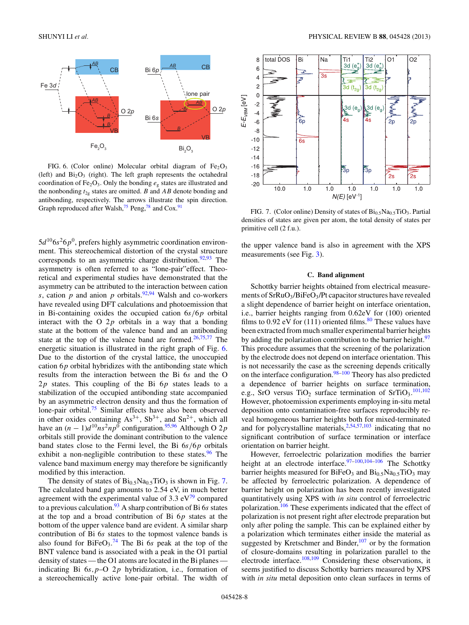<span id="page-7-0"></span>

FIG. 6. (Color online) Molecular orbital diagram of  $Fe<sub>2</sub>O<sub>3</sub>$ (left) and  $Bi<sub>2</sub>O<sub>3</sub>$  (right). The left graph represents the octahedral coordination of Fe<sub>2</sub>O<sub>3</sub>. Only the bonding  $e_g$  states are illustrated and the nonbonding  $t_{2g}$  states are omitted. *B* and *AB* denote bonding and antibonding, respectively. The arrows illustrate the spin direction. Graph reproduced after Walsh,  $75$  Peng,  $78$  and Cox.<sup>91</sup>

 $5d^{10}6s^26p^0$ , prefers highly asymmetric coordination environment. This stereochemical distortion of the crystal structure corresponds to an asymmetric charge distribution. $92,93$  The asymmetry is often referred to as "lone-pair"effect. Theoretical and experimental studies have demonstrated that the asymmetry can be attributed to the interaction between cation *s*, cation *p* and anion *p* orbitals.<sup>[92,94](#page-11-0)</sup> Walsh and co-workers have revealed using DFT calculations and photoemission that in Bi-containing oxides the occupied cation 6*s/*6*p* orbital interact with the O 2*p* orbitals in a way that a bonding state at the bottom of the valence band and an antibonding state at the top of the valence band are formed. $26,75,77$  $26,75,77$  The energetic situation is illustrated in the right graph of Fig. 6. Due to the distortion of the crystal lattice, the unoccupied cation 6*p* orbital hybridizes with the antibonding state which results from the interaction between the Bi 6*s* and the O 2*p* states. This coupling of the Bi 6*p* states leads to a stabilization of the occupied antibonding state accompanied by an asymmetric electron density and thus the formation of lone-pair orbital. $\frac{75}{2}$  $\frac{75}{2}$  $\frac{75}{2}$  Similar effects have also been observed in other oxides containing  $As^{3+}$ ,  $Sb^{3+}$ , and  $Sn^{2+}$ , which all have an  $(n - 1)d^{10}ns^2np^0$  configuration.<sup>[95,96](#page-11-0)</sup> Although O 2*p* orbitals still provide the dominant contribution to the valence band states close to the Fermi level, the Bi 6*s/*6*p* orbitals exhibit a non-negligible contribution to these states. $96$  The valence band maximum energy may therefore be significantly modified by this interaction.

The density of states of  $Bi_{0.5}Na_{0.5}TiO_3$  is shown in Fig. 7. The calculated band gap amounts to 2*.*54 eV, in much better agreement with the experimental value of  $3.3 \text{ eV}^{\frac{79}{}}$  compared to a previous calculation.[93](#page-11-0) A sharp contribution of Bi 6*s* states at the top and a broad contribution of Bi 6*p* states at the bottom of the upper valence band are evident. A similar sharp contribution of Bi 6*s* states to the topmost valence bands is also found for  $BiFeO<sub>3</sub>$ .<sup>[74](#page-11-0)</sup> The Bi 6s peak at the top of the BNT valence band is associated with a peak in the O1 partial density of states — the O1 atoms are located in the Bi planes indicating Bi 6*s,p*–O 2*p* hybridization, i.e., formation of a stereochemically active lone-pair orbital. The width of



FIG. 7. (Color online) Density of states of Bi<sub>0.5</sub>Na<sub>0.5</sub>TiO<sub>3</sub>. Partial densities of states are given per atom, the total density of states per primitive cell (2 f.u.).

the upper valence band is also in agreement with the XPS measurements (see Fig. [3\)](#page-4-0).

# **C. Band alignment**

Schottky barrier heights obtained from electrical measurements of  $SrRuO<sub>3</sub>/BiFeO<sub>3</sub>/Pt$  capacitor structures have revealed a slight dependence of barrier height on interface orientation, i.e., barrier heights ranging from 0*.*62eV for (100) oriented films to  $0.92$  eV for  $(111)$  oriented films.<sup>[80](#page-11-0)</sup> These values have been extracted from much smaller experimental barrier heights by adding the polarization contribution to the barrier height.<sup>[97](#page-11-0)</sup> This procedure assumes that the screening of the polarization by the electrode does not depend on interface orientation. This is not necessarily the case as the screening depends critically on the interface configuration. $98-100$  Theory has also predicted a dependence of barrier heights on surface termination, e.g., SrO versus TiO<sub>2</sub> surface termination of SrTiO<sub>3</sub>.<sup>[101,102](#page-11-0)</sup> However, photoemission experiments employing in-situ metal deposition onto contamination-free surfaces reproducibly reveal homogeneous barrier heights both for mixed-terminated and for polycrystalline materials, $2,54,57,103$  $2,54,57,103$  $2,54,57,103$  indicating that no significant contribution of surface termination or interface orientation on barrier height.

However, ferroelectric polarization modifies the barrier height at an electrode interface.<sup>97-100,104-106</sup> The Schottky barrier heights measured for  $BiFeO<sub>3</sub>$  and  $Bi<sub>0.5</sub>Na<sub>0.5</sub>TiO<sub>3</sub>$  may be affected by ferroelectric polarization. A dependence of barrier height on polarization has been recently investigated quantitatively using XPS with *in situ* control of ferroelectric polarization.<sup>[106](#page-11-0)</sup> These experiments indicated that the effect of polarization is not present right after electrode preparation but only after poling the sample. This can be explained either by a polarization which terminates either inside the material as suggested by Kretschmer and Binder, $107$  or by the formation of closure-domains resulting in polarization parallel to the electrode interface[.108,109](#page-11-0) Considering these observations, it seems justified to discuss Schottky barriers measured by XPS with *in situ* metal deposition onto clean surfaces in terms of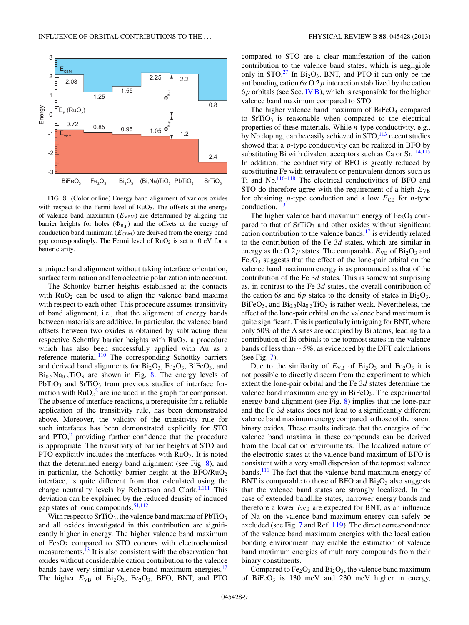

FIG. 8. (Color online) Energy band alignment of various oxides with respect to the Fermi level of  $RuO<sub>2</sub>$ . The offsets at the energy of valence band maximum  $(E_{VBM})$  are determined by aligning the barrier heights for holes  $(\Phi_{B,p})$  and the offsets at the energy of conduction band minimum ( $E_{\text{CBM}}$ ) are derived from the energy band gap correspondingly. The Fermi level of  $RuO<sub>2</sub>$  is set to 0 eV for a better clarity.

a unique band alignment without taking interface orientation, surface termination and ferroelectric polarization into account.

The Schottky barrier heights established at the contacts with  $RuO<sub>2</sub>$  can be used to align the valence band maxima with respect to each other. This procedure assumes transitivity of band alignment, i.e., that the alignment of energy bands between materials are additive. In particular, the valence band offsets between two oxides is obtained by subtracting their respective Schottky barrier heights with  $RuO<sub>2</sub>$ , a procedure which has also been successfully applied with Au as a reference material.<sup>[110](#page-11-0)</sup> The corresponding Schottky barriers and derived band alignments for  $Bi<sub>2</sub>O<sub>3</sub>$ ,  $Fe<sub>2</sub>O<sub>3</sub>$ ,  $BiFeO<sub>3</sub>$ , and Bi<sub>0.5</sub>Na<sub>0.5</sub>TiO<sub>3</sub> are shown in Fig. 8. The energy levels of  $PbTiO<sub>3</sub>$  and  $SrTiO<sub>3</sub>$  from previous studies of interface formation with  $RuO_2^2$  $RuO_2^2$  $RuO_2^2$  are included in the graph for comparison. The absence of interface reactions, a prerequisite for a reliable application of the transitivity rule, has been demonstrated above. Moreover, the validity of the transitivity rule for such interfaces has been demonstrated explicitly for STO and  $PTO<sub>2</sub><sup>2</sup>$  providing further confidence that the procedure is appropriate. The transitivity of barrier heights at STO and PTO explicitly includes the interfaces with  $RuO<sub>2</sub>$ . It is noted that the determined energy band alignment (see Fig. 8), and in particular, the Schottky barrier height at the  $BFO/RuO<sub>2</sub>$ interface, is quite different from that calculated using the charge neutrality levels by Robertson and Clark.<sup>[1,](#page-9-0)[111](#page-11-0)</sup> This deviation can be explained by the reduced density of induced gap states of ionic compounds. $51,112$  $51,112$ 

With respect to  $SrTiO<sub>3</sub>$ , the valence band maxima of  $PbTiO<sub>3</sub>$ and all oxides investigated in this contribution are significantly higher in energy. The higher valence band maximum of  $Fe<sub>2</sub>O<sub>3</sub>$  compared to STO concurs with electrochemical measurements.<sup>13</sup> It is also consistent with the observation that oxides without considerable cation contribution to the valence bands have very similar valence band maximum energies.<sup>17</sup> The higher  $E_{VB}$  of  $Bi_2O_3$ ,  $Fe_2O_3$ , BFO, BNT, and PTO compared to STO are a clear manifestation of the cation contribution to the valence band states, which is negligible only in  $STO.<sup>27</sup>$  $STO.<sup>27</sup>$  $STO.<sup>27</sup>$  In  $Bi<sub>2</sub>O<sub>3</sub>$ , BNT, and PTO it can only be the antibonding cation 6*s* O 2*p* interaction stabilized by the cation 6*p* orbitals (see Sec. [IV B\)](#page-6-0), which is responsible for the higher valence band maximum compared to STO.

The higher valence band maximum of  $BiFeO<sub>3</sub>$  compared to  $SrTiO<sub>3</sub>$  is reasonable when compared to the electrical properties of these materials. While *n*-type conductivity, e.g., by Nb doping, can be easily achieved in  $STO$ ,  $^{113}$  recent studies showed that a *p*-type conductivity can be realized in BFO by substituting Bi with divalent acceptors such as Ca or Sr.<sup>[114,115](#page-11-0)</sup> In addition, the conductivity of BFO is greatly reduced by substituting Fe with tetravalent or pentavalent donors such as Ti and Nb.[116–118](#page-11-0) The electrical conductivities of BFO and STO do therefore agree with the requirement of a high  $E_{VB}$ for obtaining  $p$ -type conduction and a low  $E_{CB}$  for  $n$ -type conduction.<sup>1</sup>

The higher valence band maximum energy of  $Fe<sub>2</sub>O<sub>3</sub>$  compared to that of  $SrTiO<sub>3</sub>$  and other oxides without significant cation contribution to the valence bands, $17$  is evidently related to the contribution of the Fe 3*d* states, which are similar in energy as the O 2p states. The comparable  $E_{VB}$  of  $Bi<sub>2</sub>O<sub>3</sub>$  and  $Fe<sub>2</sub>O<sub>3</sub>$  suggests that the effect of the lone-pair orbital on the valence band maximum energy is as pronounced as that of the contribution of the Fe 3*d* states. This is somewhat surprising as, in contrast to the Fe 3*d* states, the overall contribution of the cation 6*s* and 6*p* states to the density of states in  $Bi<sub>2</sub>O<sub>3</sub>$ ,  $BiFeO<sub>3</sub>$ , and  $Bi<sub>0.5</sub>Na<sub>0.5</sub>TiO<sub>3</sub>$  is rather weak. Nevertheless, the effect of the lone-pair orbital on the valence band maximum is quite significant. This is particularly intriguing for BNT, where only 50% of the A sites are occupied by Bi atoms, leading to a contribution of Bi orbitals to the topmost states in the valence bands of less than ∼5%, as evidenced by the DFT calculations (see Fig. [7\)](#page-7-0).

Due to the similarity of  $E_{VB}$  of  $Bi_2O_3$  and  $Fe_2O_3$  it is not possible to directly discern from the experiment to which extent the lone-pair orbital and the Fe 3*d* states determine the valence band maximum energy in  $BiFeO<sub>3</sub>$ . The experimental energy band alignment (see Fig. 8) implies that the lone-pair and the Fe 3*d* states does not lead to a significantly different valence band maximum energy compared to those of the parent binary oxides. These results indicate that the energies of the valence band maxima in these compounds can be derived from the local cation environments. The localized nature of the electronic states at the valence band maximum of BFO is consistent with a very small dispersion of the topmost valence bands.<sup>111</sup> The fact that the valence band maximum energy of BNT is comparable to those of BFO and  $Bi<sub>2</sub>O<sub>3</sub>$  also suggests that the valence band states are strongly localized. In the case of extended bandlike states, narrower energy bands and therefore a lower  $E_{VB}$  are expected for BNT, as an influence of Na on the valence band maximum energy can safely be excluded (see Fig. [7](#page-7-0) and Ref. [119\)](#page-11-0). The direct correspondence of the valence band maximum energies with the local cation bonding environment may enable the estimation of valence band maximum energies of multinary compounds from their binary constituents.

Compared to  $Fe<sub>2</sub>O<sub>3</sub>$  and  $Bi<sub>2</sub>O<sub>3</sub>$ , the valence band maximum of BiFe $O_3$  is 130 meV and 230 meV higher in energy,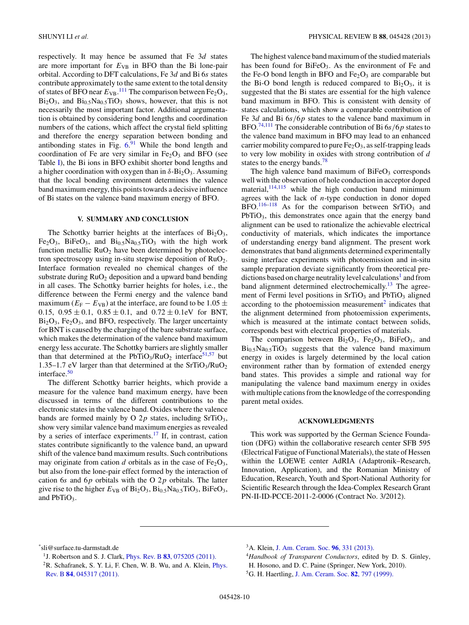<span id="page-9-0"></span>respectively. It may hence be assumed that Fe 3*d* states are more important for  $E_{VB}$  in BFO than the Bi lone-pair orbital. According to DFT calculations, Fe 3*d* and Bi 6*s* states contribute approximately to the same extent to the total density of states of BFO near  $E_{VB}$ .<sup>[111](#page-11-0)</sup> The comparison between  $Fe<sub>2</sub>O<sub>3</sub>$ ,  $Bi<sub>2</sub>O<sub>3</sub>$ , and  $Bi<sub>0.5</sub>Na<sub>0.5</sub>TiO<sub>3</sub>$  shows, however, that this is not necessarily the most important factor. Additional argumentation is obtained by considering bond lengths and coordination numbers of the cations, which affect the crystal field splitting and therefore the energy separation between bonding and antibonding states in Fig.  $6^{91}$  $6^{91}$  $6^{91}$  While the bond length and coordination of Fe are very similar in  $Fe<sub>2</sub>O<sub>3</sub>$  and BFO (see Table [I\)](#page-6-0), the Bi ions in BFO exhibit shorter bond lengths and a higher coordination with oxygen than in  $\delta$ -Bi<sub>2</sub>O<sub>3</sub>. Assuming that the local bonding environment determines the valence band maximum energy, this points towards a decisive influence of Bi states on the valence band maximum energy of BFO.

# **V. SUMMARY AND CONCLUSION**

The Schottky barrier heights at the interfaces of  $Bi<sub>2</sub>O<sub>3</sub>$ , Fe<sub>2</sub>O<sub>3</sub>, BiFeO<sub>3</sub>, and Bi<sub>0.5</sub>Na<sub>0.5</sub>TiO<sub>3</sub> with the high work function metallic  $RuO<sub>2</sub>$  have been determined by photoelectron spectroscopy using in-situ stepwise deposition of  $RuO<sub>2</sub>$ . Interface formation revealed no chemical changes of the substrate during  $RuO<sub>2</sub>$  deposition and a upward band bending in all cases. The Schottky barrier heights for holes, i.e., the difference between the Fermi energy and the valence band maximum ( $E_F - E_{VB}$ ) at the interface, are found to be 1.05  $\pm$ 0.15,  $0.95 \pm 0.1$ ,  $0.85 \pm 0.1$ , and  $0.72 \pm 0.1$ eV for BNT,  $Bi<sub>2</sub>O<sub>3</sub>$ , Fe<sub>2</sub>O<sub>3</sub>, and BFO, respectively. The larger uncertainty for BNT is caused by the charging of the bare substrate surface, which makes the determination of the valence band maximum energy less accurate. The Schottky barriers are slightly smaller than that determined at the  $PbTiO<sub>3</sub>/RuO<sub>2</sub>$  interface<sup>51,57</sup> but 1.35–1.7 eV larger than that determined at the  $SrTiO<sub>3</sub>/RuO<sub>2</sub>$ interface.<sup>50</sup>

The different Schottky barrier heights, which provide a measure for the valence band maximum energy, have been discussed in terms of the different contributions to the electronic states in the valence band. Oxides where the valence bands are formed mainly by O  $2p$  states, including SrTiO<sub>3</sub>, show very similar valence band maximum energies as revealed by a series of interface experiments.<sup>17</sup> If, in contrast, cation states contribute significantly to the valence band, an upward shift of the valence band maximum results. Such contributions may originate from cation *d* orbitals as in the case of  $Fe<sub>2</sub>O<sub>3</sub>$ , but also from the lone-pair effect formed by the interaction of cation 6*s* and 6*p* orbitals with the O 2*p* orbitals. The latter give rise to the higher  $E_{VB}$  of  $Bi_2O_3$ ,  $Bi_{0.5}Na_{0.5}TiO_3$ ,  $BiFeO_3$ , and  $PbTiO<sub>3</sub>$ .

The highest valence band maximum of the studied materials has been found for  $BiFeO<sub>3</sub>$ . As the environment of Fe and the Fe-O bond length in BFO and  $Fe<sub>2</sub>O<sub>3</sub>$  are comparable but the Bi-O bond length is reduced compared to  $Bi<sub>2</sub>O<sub>3</sub>$ , it is suggested that the Bi states are essential for the high valence band maximum in BFO. This is consistent with density of states calculations, which show a comparable contribution of Fe 3*d* and Bi 6*s/*6*p* states to the valence band maximum in BFO.[74,111](#page-11-0) The considerable contribution of Bi 6*s/*6*p* states to the valence band maximum in BFO may lead to an enhanced carrier mobility compared to pure  $Fe<sub>2</sub>O<sub>3</sub>$ , as self-trapping leads to very low mobility in oxides with strong contribution of *d* states to the energy bands.<sup>[78](#page-11-0)</sup>

The high valence band maximum of  $BiFeO<sub>3</sub>$  corresponds well with the observation of hole conduction in acceptor doped material, $114,115$  while the high conduction band minimum agrees with the lack of *n*-type conduction in donor doped BFO.<sup>[116–118](#page-11-0)</sup> As for the comparison between SrTiO<sub>3</sub> and PbTiO<sub>3</sub>, this demonstrates once again that the energy band alignment can be used to rationalize the achievable electrical conductivity of materials, which indicates the importance of understanding energy band alignment. The present work demonstrates that band alignments determined experimentally using interface experiments with photoemission and in-situ sample preparation deviate significantly from theoretical predictions based on charge neutrality level calculations<sup>1</sup> and from band alignment determined electrochemically.<sup>[13](#page-10-0)</sup> The agreement of Fermi level positions in  $SrTiO<sub>3</sub>$  and  $PbTiO<sub>3</sub>$  aligned according to the photoemission measurement<sup>2</sup> indicates that the alignment determined from photoemission experiments, which is measured at the intimate contact between solids, corresponds best with electrical properties of materials.

The comparison between  $Bi<sub>2</sub>O<sub>3</sub>$ ,  $Fe<sub>2</sub>O<sub>3</sub>$ ,  $BiFeO<sub>3</sub>$ , and  $Bi<sub>0.5</sub>Na<sub>0.5</sub>TiO<sub>3</sub> suggests that the valence band maximum$ energy in oxides is largely determined by the local cation environment rather than by formation of extended energy band states. This provides a simple and rational way for manipulating the valence band maximum energy in oxides with multiple cations from the knowledge of the corresponding parent metal oxides.

# **ACKNOWLEDGMENTS**

This work was supported by the German Science Foundation (DFG) within the collaborative research center SFB 595 (Electrical Fatigue of Functional Materials), the state of Hessen within the LOEWE center AdRIA (Adaptronik–Research, Innovation, Application), and the Romanian Ministry of Education, Research, Youth and Sport-National Authority for Scientific Research through the Idea-Complex Research Grant PN-II-ID-PCCE-2011-2-0006 (Contract No. 3/2012).

\* sli@surface.tu-darmstadt.de

<sup>4</sup>*Handbook of Transparent Conductors*, edited by D. S. Ginley, H. Hosono, and D. C. Paine (Springer, New York, 2010). 5G. H. Haertling, [J. Am. Ceram. Soc.](http://dx.doi.org/10.1111/j.1151-2916.1999.tb01840.x) **82**, 797 (1999).

<sup>1</sup>J. Robertson and S. J. Clark, Phys. Rev. B **83**[, 075205 \(2011\).](http://dx.doi.org/10.1103/PhysRevB.83.075205) <sup>2</sup>R. Schafranek, S. Y. Li, F. Chen, W. B. Wu, and A. Klein, *[Phys.](http://dx.doi.org/10.1103/PhysRevB.84.045317)* 

Rev. B **84**[, 045317 \(2011\).](http://dx.doi.org/10.1103/PhysRevB.84.045317)

<sup>3</sup>A. Klein, [J. Am. Ceram. Soc.](http://dx.doi.org/10.1111/jace.12143) **96**, 331 (2013).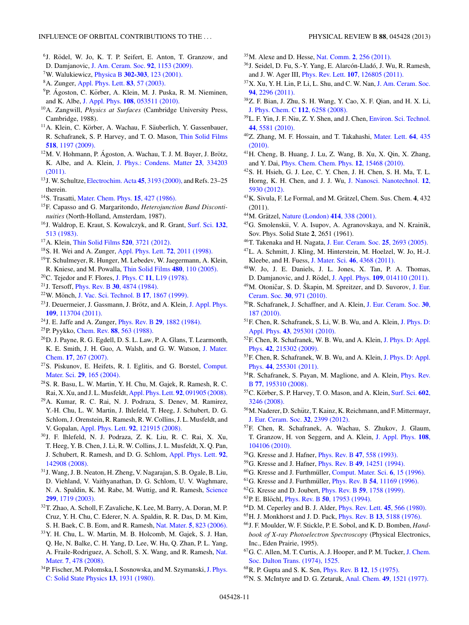- <span id="page-10-0"></span><sup>6</sup>J. Rödel, W. Jo, K. T. P. Seifert, E. Anton, T. Granzow, and D. Damjanovic, [J. Am. Ceram. Soc.](http://dx.doi.org/10.1111/j.1551-2916.2009.03061.x) **92**, 1153 (2009).
- 7W. Walukiewicz, Physica B **302-303**[, 123 \(2001\).](http://dx.doi.org/10.1016/S0921-4526(01)00417-3)
- 8A. Zunger, [Appl. Phys. Lett.](http://dx.doi.org/10.1063/1.1584074) **83**, 57 (2003).
- <sup>9</sup>P. Ágoston, C. Körber, A. Klein, M. J. Puska, R. M. Nieminen, and K. Albe, J. Appl. Phys. **108**[, 053511 \(2010\).](http://dx.doi.org/10.1063/1.3467780)
- 10A. Zangwill, *Physics at Surfaces* (Cambridge University Press, Cambridge, 1988).
- $11$ A. Klein, C. Körber, A. Wachau, F. Säuberlich, Y. Gassenbauer, R. Schafranek, S. P. Harvey, and T. O. Mason, [Thin Solid Films](http://dx.doi.org/10.1016/j.tsf.2009.05.057) **518**[, 1197 \(2009\).](http://dx.doi.org/10.1016/j.tsf.2009.05.057)
- $12$ M. V. Hohmann, P. Ágoston, A. Wachau, T. J. M. Bayer, J. Brötz, K. Albe, and A. Klein, [J. Phys.: Condens. Matter](http://dx.doi.org/10.1088/0953-8984/23/33/334203) **23**, 334203 [\(2011\).](http://dx.doi.org/10.1088/0953-8984/23/33/334203)
- 13J. W. Schultze, [Electrochim. Acta](http://dx.doi.org/10.1016/S0013-4686(00)00413-8) **45**, 3193 (2000), and Refs. 23–25 therein.
- 14S. Trasatti, [Mater. Chem. Phys.](http://dx.doi.org/10.1016/0254-0584(86)90026-X) **15**, 427 (1986).
- 15F. Capasso and G. Margaritondo, *Heterojunction Band Discontinuities* (North-Holland, Amsterdam, 1987).
- 16J. Waldrop, E. Kraut, S. Kowalczyk, and R. Grant, [Surf. Sci.](http://dx.doi.org/10.1016/0039-6028(83)90557-5) **132**, [513 \(1983\).](http://dx.doi.org/10.1016/0039-6028(83)90557-5)
- 17A. Klein, [Thin Solid Films](http://dx.doi.org/10.1016/j.tsf.2011.10.055) **520**, 3721 (2012).
- 18S. H. Wei and A. Zunger, [Appl. Phys. Lett.](http://dx.doi.org/10.1063/1.121249) **72**, 2011 (1998).
- 19T. Schulmeyer, R. Hunger, M. Lebedev, W. Jaegermann, A. Klein, R. Kniese, and M. Powalla, [Thin Solid Films](http://dx.doi.org/10.1016/j.tsf.2004.11.021) **480**, 110 (2005).
- 20C. Tejedor and F. Flores, J. Phys. C **11**[, L19 \(1978\).](http://dx.doi.org/10.1088/0022-3719/11/1/005)
- 21J. Tersoff, Phys. Rev. B **30**[, 4874 \(1984\).](http://dx.doi.org/10.1103/PhysRevB.30.4874)
- <sup>22</sup>W. Mönch, [J. Vac. Sci. Technol. B](http://dx.doi.org/10.1116/1.590839) 17, 1867 (1999).
- <sup>23</sup> J. Deuermeier, J. Gassmann, J. Brötz, and A. Klein, [J. Appl. Phys.](http://dx.doi.org/10.1063/1.3592981) **109**[, 113704 \(2011\).](http://dx.doi.org/10.1063/1.3592981)
- 24J. E. Jaffe and A. Zunger, Phys. Rev. B **29**[, 1882 \(1984\).](http://dx.doi.org/10.1103/PhysRevB.29.1882)
- 25P. Pyykko, Chem. Rev. **88**[, 563 \(1988\).](http://dx.doi.org/10.1021/cr00085a006)
- 26D. J. Payne, R. G. Egdell, D. S. L. Law, P. A. Glans, T. Learmonth, K. E. Smith, J. H. Guo, A. Walsh, and G. W. Watson, [J. Mater.](http://dx.doi.org/10.1039/b612323f) Chem. **17**[, 267 \(2007\).](http://dx.doi.org/10.1039/b612323f)
- 27S. Piskunov, E. Heifets, R. I. Eglitis, and G. Borstel, [Comput.](http://dx.doi.org/10.1016/j.commatsci.2003.08.036) Mater. Sci. **29**[, 165 \(2004\).](http://dx.doi.org/10.1016/j.commatsci.2003.08.036)
- 28S. R. Basu, L. W. Martin, Y. H. Chu, M. Gajek, R. Ramesh, R. C. Rai, X. Xu, and J. L. Musfeldt, [Appl. Phys. Lett.](http://dx.doi.org/10.1063/1.2887908) **92**, 091905 (2008).
- 29A. Kumar, R. C. Rai, N. J. Podraza, S. Denev, M. Ramirez, Y.-H. Chu, L. W. Martin, J. Ihlefeld, T. Heeg, J. Schubert, D. G. Schlom, J. Orenstein, R. Ramesh, R. W. Collins, J. L. Musfeldt, and V. Gopalan, [Appl. Phys. Lett.](http://dx.doi.org/10.1063/1.2901168) **92**, 121915 (2008).
- 30J. F. Ihlefeld, N. J. Podraza, Z. K. Liu, R. C. Rai, X. Xu, T. Heeg, Y. B. Chen, J. Li, R. W. Collins, J. L. Musfeldt, X. Q. Pan, J. Schubert, R. Ramesh, and D. G. Schlom, [Appl. Phys. Lett.](http://dx.doi.org/10.1063/1.2901160) **92**, [142908 \(2008\).](http://dx.doi.org/10.1063/1.2901160)
- 31J. Wang, J. B. Neaton, H. Zheng, V. Nagarajan, S. B. Ogale, B. Liu, D. Viehland, V. Vaithyanathan, D. G. Schlom, U. V. Waghmare, N. A. Spaldin, K. M. Rabe, M. Wuttig, and R. Ramesh, [Science](http://dx.doi.org/10.1126/science.1080615) **299**[, 1719 \(2003\).](http://dx.doi.org/10.1126/science.1080615)
- 32T. Zhao, A. Scholl, F. Zavaliche, K. Lee, M. Barry, A. Doran, M. P. Cruz, Y. H. Chu, C. Ederer, N. A. Spaldin, R. R. Das, D. M. Kim, S. H. Baek, C. B. Eom, and R. Ramesh, Nat. Mater. **5**[, 823 \(2006\).](http://dx.doi.org/10.1038/nmat1731)
- 33Y. H. Chu, L. W. Martin, M. B. Holcomb, M. Gajek, S. J. Han, Q. He, N. Balke, C. H. Yang, D. Lee, W. Hu, Q. Zhan, P. L. Yang, A. Fraile-Rodriguez, A. Scholl, S. X. Wang, and R. Ramesh, [Nat.](http://dx.doi.org/10.1038/nmat2184) Mater. **7**[, 478 \(2008\).](http://dx.doi.org/10.1038/nmat2184)
- <sup>34</sup>P. Fischer, M. Polomska, I. Sosnowska, and M. Szymanski, [J. Phys.](http://dx.doi.org/10.1088/0022-3719/13/10/012) [C: Solid State Physics](http://dx.doi.org/10.1088/0022-3719/13/10/012) **13**, 1931 (1980).
- 35M. Alexe and D. Hesse, Nat. Comm. **2**[, 256 \(2011\).](http://dx.doi.org/10.1038/ncomms1261)
- <sup>36</sup>J. Seidel, D. Fu, S.-Y. Yang, E. Alarcón-Lladó, J. Wu, R. Ramesh, and J. W. Ager III, Phys. Rev. Lett. **107**[, 126805 \(2011\).](http://dx.doi.org/10.1103/PhysRevLett.107.126805)
- $37X$ . Xu, Y. H. Lin, P. Li, L. Shu, and C. W. Nan, [J. Am. Ceram. Soc.](http://dx.doi.org/10.1111/j.1551-2916.2011.04653.x) **94**[, 2296 \(2011\).](http://dx.doi.org/10.1111/j.1551-2916.2011.04653.x)
- 38Z. F. Bian, J. Zhu, S. H. Wang, Y. Cao, X. F. Qian, and H. X. Li, [J. Phys. Chem. C](http://dx.doi.org/10.1021/jp800324t) **112**, 6258 (2008).
- 39L. F. Yin, J. F. Niu, Z. Y. Shen, and J. Chen, [Environ. Sci. Technol.](http://dx.doi.org/10.1021/es101006s) **44**[, 5581 \(2010\).](http://dx.doi.org/10.1021/es101006s)
- 40Z. Zhang, M. F. Hossain, and T. Takahashi, [Mater. Lett.](http://dx.doi.org/10.1016/j.matlet.2009.10.071) **64**, 435 [\(2010\).](http://dx.doi.org/10.1016/j.matlet.2009.10.071)
- 41H. Cheng, B. Huang, J. Lu, Z. Wang, B. Xu, X. Qin, X. Zhang, and Y. Dai, [Phys. Chem. Chem. Phys.](http://dx.doi.org/10.1039/c0cp01189d) **12**, 15468 (2010).
- 42S. H. Hsieh, G. J. Lee, C. Y. Chen, J. H. Chen, S. H. Ma, T. L. Horng, K. H. Chen, and J. J. Wu, [J. Nanosci. Nanotechnol.](http://dx.doi.org/10.1166/jnn.2012.6396) **12**, [5930 \(2012\).](http://dx.doi.org/10.1166/jnn.2012.6396)
- <sup>43</sup>K. Sivula, F. Le Formal, and M. Grätzel, Chem. Sus. Chem. 4, 432 (2011).
- <sup>44</sup>M. Grätzel, [Nature \(London\)](http://dx.doi.org/10.1038/35104607) **414**, 338 (2001).
- 45G. Smolenskii, V. A. Isupov, A. Agranovskaya, and N. Krainik, Sov. Phys. Solid State **2**, 2651 (1961).
- 46T. Takenaka and H. Nagata, [J. Eur. Ceram. Soc.](http://dx.doi.org/10.1016/j.jeurceramsoc.2005.03.125) **25**, 2693 (2005).
- 47L. A. Schmitt, J. Kling, M. Hinterstein, M. Hoelzel, W. Jo, H.-J. Kleebe, and H. Fuess, J. Mater. Sci. **46**[, 4368 \(2011\).](http://dx.doi.org/10.1007/s10853-011-5427-6)
- 48W. Jo, J. E. Daniels, J. L. Jones, X. Tan, P. A. Thomas, D. Damjanovic, and J. Rödel, J. Appl. Phys. **109**[, 014110 \(2011\).](http://dx.doi.org/10.1063/1.3530737)
- <sup>49</sup>M. Otoničar, S. D. Škapin, M. Spreitzer, and D. Suvorov, [J. Eur.](http://dx.doi.org/10.1016/j.jeurceramsoc.2009.10.006) Ceram. Soc. **30**[, 971 \(2010\).](http://dx.doi.org/10.1016/j.jeurceramsoc.2009.10.006)
- 50R. Schafranek, J. Schaffner, and A. Klein, [J. Eur. Ceram. Soc.](http://dx.doi.org/10.1016/j.jeurceramsoc.2009.05.009) **30**, [187 \(2010\).](http://dx.doi.org/10.1016/j.jeurceramsoc.2009.05.009)
- 51F. Chen, R. Schafranek, S. Li, W. B. Wu, and A. Klein, [J. Phys. D:](http://dx.doi.org/10.1088/0022-3727/43/29/295301) Appl. Phys. **43**[, 295301 \(2010\).](http://dx.doi.org/10.1088/0022-3727/43/29/295301)
- 52F. Chen, R. Schafranek, W. B. Wu, and A. Klein, [J. Phys. D: Appl.](http://dx.doi.org/10.1088/0022-3727/42/21/215302) Phys. **42**[, 215302 \(2009\).](http://dx.doi.org/10.1088/0022-3727/42/21/215302)
- 53F. Chen, R. Schafranek, W. B. Wu, and A. Klein, [J. Phys. D: Appl.](http://dx.doi.org/10.1088/0022-3727/44/25/255301) Phys. **44**[, 255301 \(2011\).](http://dx.doi.org/10.1088/0022-3727/44/25/255301)
- 54R. Schafranek, S. Payan, M. Maglione, and A. Klein, [Phys. Rev.](http://dx.doi.org/10.1103/PhysRevB.77.195310) B **77**[, 195310 \(2008\).](http://dx.doi.org/10.1103/PhysRevB.77.195310)
- <sup>55</sup>C. Körber, S. P. Harvey, T. O. Mason, and A. Klein, [Surf. Sci.](http://dx.doi.org/10.1016/j.susc.2008.08.015) 602, [3246 \(2008\).](http://dx.doi.org/10.1016/j.susc.2008.08.015)
- <sup>56</sup>M. Naderer, D. Schütz, T. Kainz, K. Reichmann, and F. Mittermayr, [J. Eur. Ceram. Soc.](http://dx.doi.org/10.1016/j.jeurceramsoc.2012.02.031) **32**, 2399 (2012).
- 57F. Chen, R. Schafranek, A. Wachau, S. Zhukov, J. Glaum, T. Granzow, H. von Seggern, and A. Klein, [J. Appl. Phys.](http://dx.doi.org/10.1063/1.3512969) **108**, [104106 \(2010\).](http://dx.doi.org/10.1063/1.3512969)
- 58G. Kresse and J. Hafner, Phys. Rev. B **47**[, 558 \(1993\).](http://dx.doi.org/10.1103/PhysRevB.47.558)
- 59G. Kresse and J. Hafner, Phys. Rev. B **49**[, 14251 \(1994\).](http://dx.doi.org/10.1103/PhysRevB.49.14251)
- <sup>60</sup>G. Kresse and J. Furthmüller, [Comput. Mater. Sci.](http://dx.doi.org/10.1016/0927-0256(96)00008-0) 6, 15 (1996).
- <sup>61</sup>G. Kresse and J. Furthmüller, *Phys. Rev. B* 54[, 11169 \(1996\).](http://dx.doi.org/10.1103/PhysRevB.54.11169)
- 62G. Kresse and D. Joubert, Phys. Rev. B **59**[, 1758 \(1999\).](http://dx.doi.org/10.1103/PhysRevB.59.1758)
- 63P. E. Blöchl, *Phys. Rev. B* 50[, 17953 \(1994\).](http://dx.doi.org/10.1103/PhysRevB.50.17953)
- 64D. M. Ceperley and B. J. Alder, [Phys. Rev. Lett.](http://dx.doi.org/10.1103/PhysRevLett.45.566) **45**, 566 (1980).
- 65H. J. Monkhorst and J. D. Pack, Phys. Rev. B **13**[, 5188 \(1976\).](http://dx.doi.org/10.1103/PhysRevB.13.5188)
- 66J. F. Moulder, W. F. Stickle, P. E. Sobol, and K. D. Bomben, *Handbook of X-ray Photoelectron Spectroscopy* (Physical Electronics, Inc., Eden Prairie, 1995).
- 67G. C. Allen, M. T. Curtis, A. J. Hooper, and P. M. Tucker, [J. Chem.](http://dx.doi.org/10.1039/dt9740001525) [Soc. Dalton Trans. \(1974\), 1525.](http://dx.doi.org/10.1039/dt9740001525)
- 68R. P. Gupta and S. K. Sen, [Phys. Rev. B](http://dx.doi.org/10.1103/PhysRevB.12.15) **12**, 15 (1975).
- 69N. S. McIntyre and D. G. Zetaruk, Anal. Chem. **49**[, 1521 \(1977\).](http://dx.doi.org/10.1021/ac50019a016)